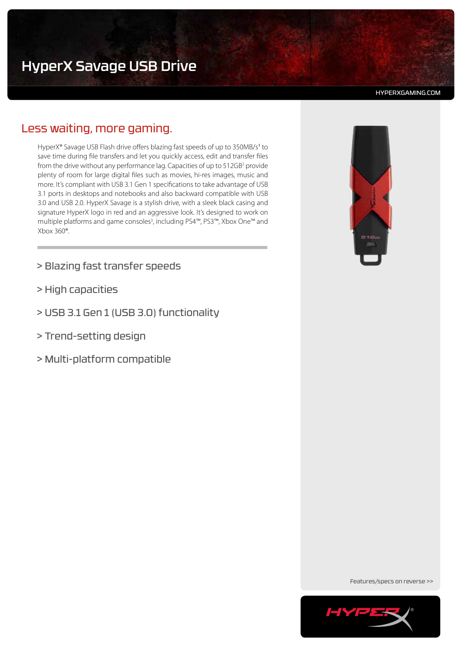HYPERXGAMING.COM

# Less waiting, more gaming.

HyperX® Savage USB Flash drive offers blazing fast speeds of up to 350MB/s<sup>1</sup> to save time during file transfers and let you quickly access, edit and transfer files from the drive without any performance lag. Capacities of up to  $512GB<sup>2</sup>$  provide plenty of room for large digital files such as movies, hi-res images, music and more. It's compliant with USB 3.1 Gen 1 specifications to take advantage of USB 3.1 ports in desktops and notebooks and also backward compatible with USB 3.0 and USB 2.0. HyperX Savage is a stylish drive, with a sleek black casing and signature HyperX logo in red and an aggressive look. It's designed to work on multiple platforms and game consoles<sup>3</sup>, including PS4<sup>™</sup>, PS3™, Xbox One™ and Xbox 360®.

- > Blazing fast transfer speeds
- > High capacities
- > USB 3.1 Gen 1 (USB 3.0) functionality
- > Trend-setting design
- > Multi-platform compatible



Features/specs on reverse >>